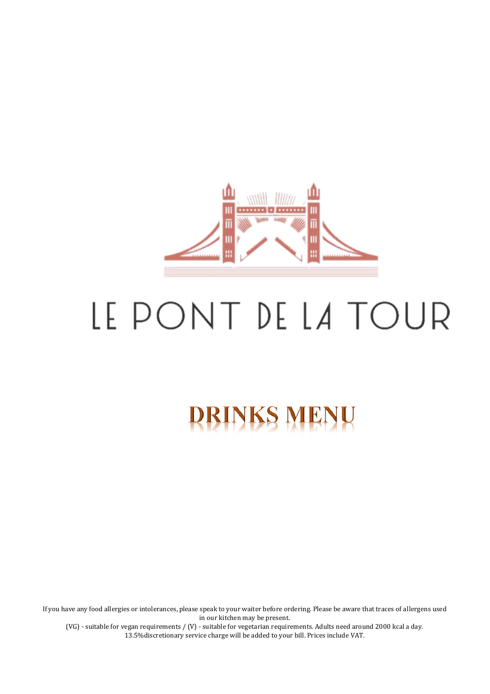

# LE PONT DE LA TOUR

# **DRINKS MENU**

If you have any food allergies or intolerances, please speak to your waiter before ordering. Please be aware that traces of allergens used in our kitchen may be present.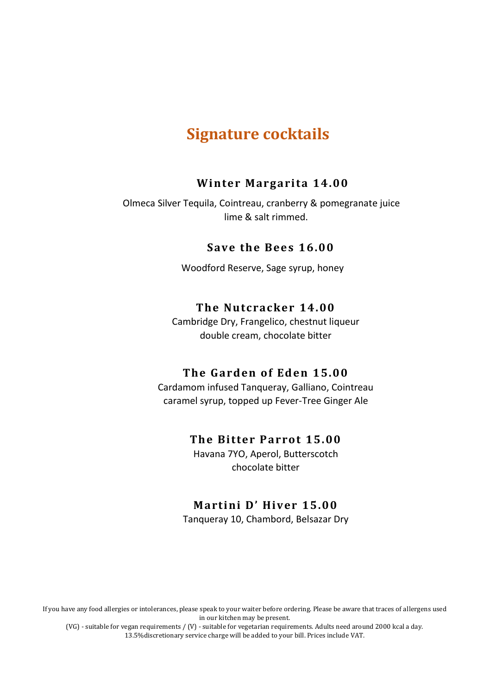## **Signature cocktails**

### **Winter Margarita 14.00**

 Olmeca Silver Tequila, Cointreau, cranberry & pomegranate juice lime & salt rimmed.

### **S ave th e Bees 16.00**

Woodford Reserve, Sage syrup, honey

### **The Nu tcracker 14.00**

Cambridge Dry, Frangelico, chestnut liqueur double cream, chocolate bitter

### **The Gard en of Ed en 15.00**

Cardamom infused Tanqueray, Galliano, Cointreau caramel syrup, topped up Fever-Tree Ginger Ale

### **The Bitter Parrot 15.00**

Havana 7YO, Aperol, Butterscotch chocolate bitter

### **Martini D' Hiver 15.00**

Tanqueray 10, Chambord, Belsazar Dry

If you have any food allergies or intolerances, please speak to your waiter before ordering. Please be aware that traces of allergens used in our kitchen may be present.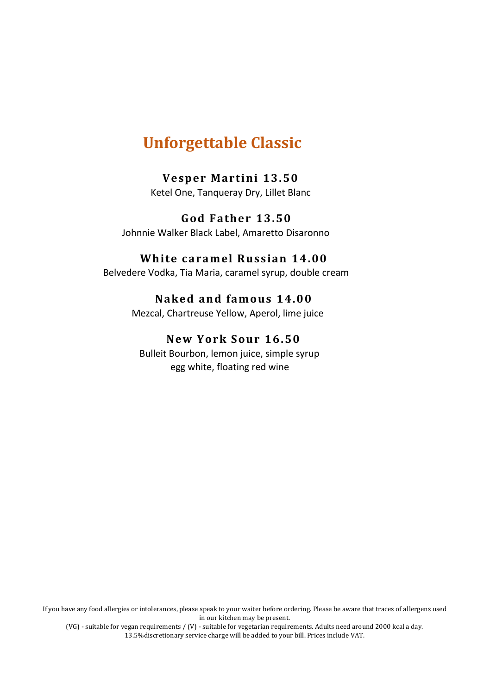# **Unforgettable Classic**

### **Vesper Martini 13.50**

Ketel One, Tanqueray Dry, Lillet Blanc

### **G od F ather 13.50** Johnnie Walker Black Label, Amaretto Disaronno

### **White caramel Russian 14.00**

Belvedere Vodka, Tia Maria, caramel syrup, double cream

### **Naked and famous 14.00**

Mezcal, Chartreuse Yellow, Aperol, lime juice

### **New York Sour 16.50**

 Bulleit Bourbon, lemon juice, simple syrup egg white, floating red wine

If you have any food allergies or intolerances, please speak to your waiter before ordering. Please be aware that traces of allergens used in our kitchen may be present.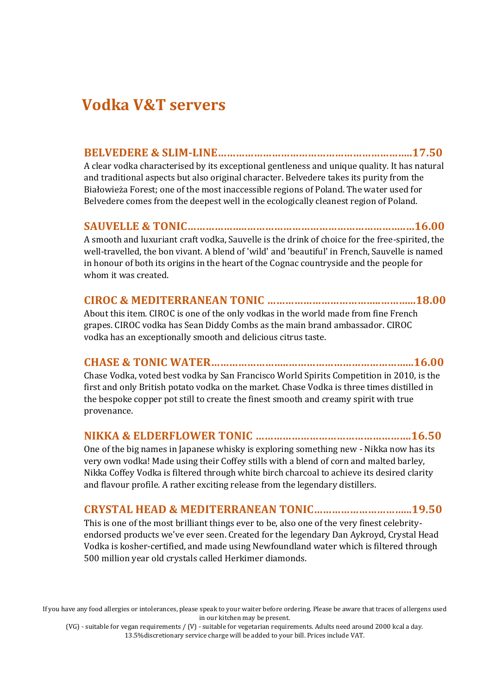# **Vodka V&T servers**

### **BELVEDERE & SLIM-LINE………………………………………………………..17.50**

A clear vodka characterised by its exceptional gentleness and unique quality. It has natural and traditional aspects but also original character. Belvedere takes its purity from the Białowieża Forest; one of the most inaccessible regions of Poland. The water used for Belvedere comes from the deepest well in the ecologically cleanest region of Poland.

### **SAUVELLE & TONIC………………..……………………………………………..…16.00**

A smooth and luxuriant craft vodka, Sauvelle is the drink of choice for the free-spirited, the well-travelled, the bon vivant. A blend of 'wild' and 'beautiful' in French, Sauvelle is named in honour of both its origins in the heart of the Cognac countryside and the people for whom it was created.

### **CIROC & MEDITERRANEAN TONIC ………………………………..………...18.00**

About this item. CIROC is one of the only vodkas in the world made from fine French grapes. CIROC vodka has Sean Diddy Combs as the main brand ambassador. CIROC vodka has an exceptionally smooth and delicious citrus taste.

### **CHASE & TONIC WATER……………………..…………………………………...16.00**

Chase Vodka, voted best vodka by San Francisco World Spirits Competition in 2010, is the first and only British potato vodka on the market. Chase Vodka is three times distilled in the bespoke copper pot still to create the finest smooth and creamy spirit with true provenance.

### **NIKKA & ELDERFLOWER TONIC …………………………………………….16.50**

One of the big names in Japanese whisky is exploring something new - Nikka now has its very own vodka! Made using their Coffey stills with a blend of corn and malted barley, Nikka Coffey Vodka is filtered through white birch charcoal to achieve its desired clarity and flavour profile. A rather exciting release from the legendary distillers.

### **CRYSTAL HEAD & MEDITERRANEAN TONIC…………………………...19.50**

This is one of the most brilliant things ever to be, also one of the very finest celebrityendorsed products we've ever seen. Created for the legendary Dan Aykroyd, Crystal Head Vodka is kosher-certified, and made using Newfoundland water which is filtered through 500 million year old crystals called Herkimer diamonds.

If you have any food allergies or intolerances, please speak to your waiter before ordering. Please be aware that traces of allergens used in our kitchen may be present.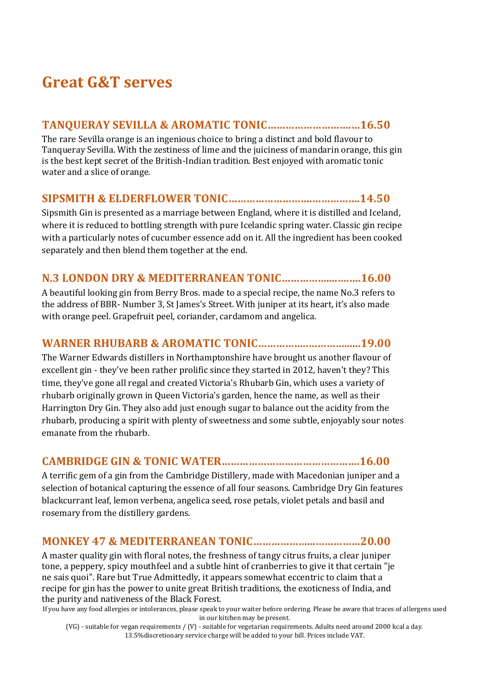# **Great G&T serves**

### **TANQUERAY SEVILLA & AROMATIC TONIC……………………….…16.50**

The rare Sevilla orange is an ingenious choice to bring a distinct and bold flavour to Tanqueray Sevilla. With the zestiness of lime and the juiciness of mandarin orange, this gin is the best kept secret of the British-Indian tradition. Best enjoyed with aromatic tonic water and a slice of orange.

### **SIPSMITH & ELDERFLOWER TONIC……………………….…………….14.50**

Sipsmith Gin is presented as a marriage between England, where it is distilled and Iceland, where it is reduced to bottling strength with pure Icelandic spring water. Classic gin recipe with a particularly notes of cucumber essence add on it. All the ingredient has been cooked separately and then blend them together at the end.

### **N.3 LONDON DRY & MEDITERRANEAN TONIC……………....….….16.00**

A beautiful looking gin from Berry Bros. made to a special recipe, the name No.3 refers to the address of BBR- Number 3, St James's Street. With juniper at its heart, it's also made with orange peel. Grapefruit peel, coriander, cardamom and angelica.

### **WARNER RHUBARB & AROMATIC TONIC……………..…………......19.00**

The Warner Edwards distillers in Northamptonshire have brought us another flavour of excellent gin - they've been rather prolific since they started in 2012, haven't they? This time, they've gone all regal and created Victoria's Rhubarb Gin, which uses a variety of rhubarb originally grown in Queen Victoria's garden, hence the name, as well as their Harrington Dry Gin. They also add just enough sugar to balance out the acidity from the rhubarb, producing a spirit with plenty of sweetness and some subtle, enjoyably sour notes emanate from the rhubarb.

### **CAMBRIDGE GIN & TONIC WATER……………………………………….16.00**

A terrific gem of a gin from the Cambridge Distillery, made with Macedonian juniper and a selection of botanical capturing the essence of all four seasons. Cambridge Dry Gin features blackcurrant leaf, lemon verbena, angelica seed, rose petals, violet petals and basil and rosemary from the distillery gardens.

### **MONKEY 47 & MEDITERRANEAN TONIC………………...……………20.00**

A master quality gin with floral notes, the freshness of tangy citrus fruits, a clear juniper tone, a peppery, spicy mouthfeel and a subtle hint of cranberries to give it that certain "je ne sais quoi". Rare but True Admittedly, it appears somewhat eccentric to claim that a recipe for gin has the power to unite great British traditions, the exoticness of India, and the purity and nativeness of the Black Forest.

If you have any food allergies or intolerances, please speak to your waiter before ordering. Please be aware that traces of allergens used in our kitchen may be present.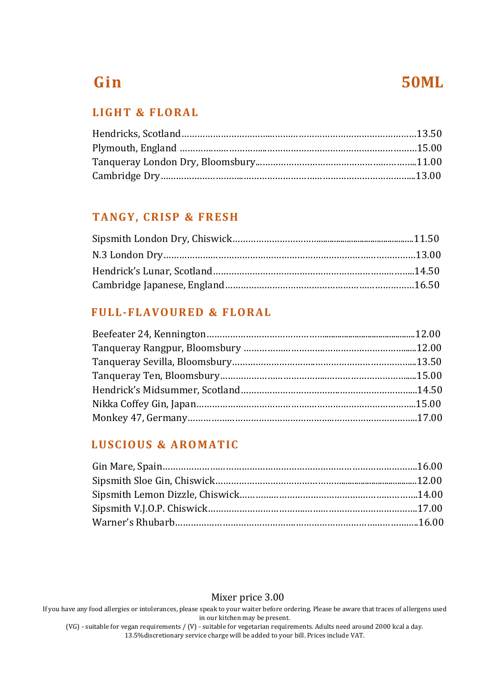# **Gin 50ML**

### **LIGHT & FLO RAL**

### **TANG Y, CRISP & FRES H**

### **FULL-FL AVO URED & FLORAL**

### **LUSCIOUS & ARO MATIC**

Mixer price 3.00

If you have any food allergies or intolerances, please speak to your waiter before ordering. Please be aware that traces of allergens used in our kitchen may be present.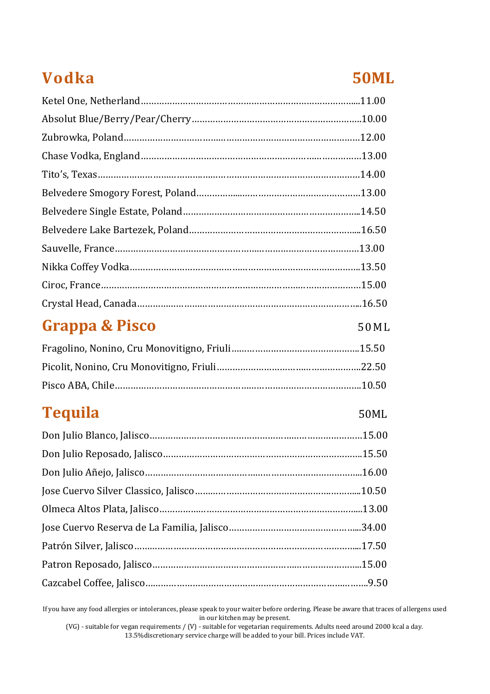# **Vodka 50ML**

# **Grappa & Pisco** 50ML

| Pisco ABA. Chile………………………………………………………………………………10.50 |  |
|-----------------------------------------------------|--|

# **Tequila** 50ML

If you have any food allergies or intolerances, please speak to your waiter before ordering. Please be aware that traces of allergens used in our kitchen may be present.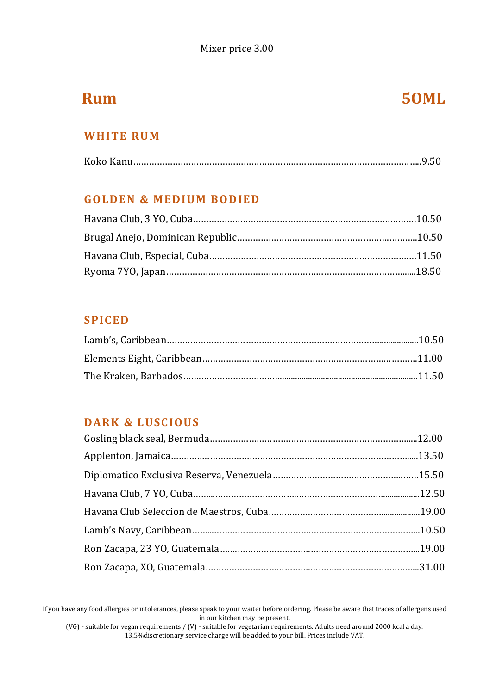# **Rum 50ML**

### **WHITE RUM**

### **GOLDEN & MEDIUM BODIED**

### **SPIC ED**

### **DARK & L USCIOUS**

If you have any food allergies or intolerances, please speak to your waiter before ordering. Please be aware that traces of allergens used in our kitchen may be present.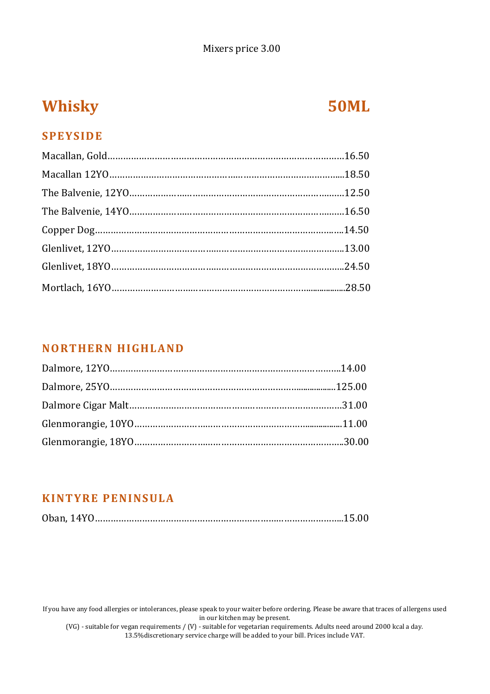### Mixers price 3.00

# **Whisky 50ML**

### **SPEYSIDE**

### **NORTHERN HIGHLAND**

### **KINTYRE PENINS ULA**

If you have any food allergies or intolerances, please speak to your waiter before ordering. Please be aware that traces of allergens used in our kitchen may be present.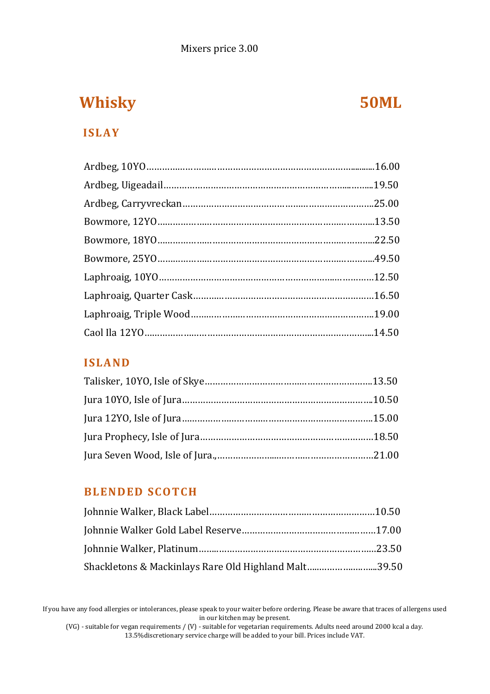# **Whisky 50ML**

### **ISL AY**

### **ISLAND**

### **BLENDED SCOTCH**

| Shackletons & Mackinlays Rare Old Highland Malt39.50 |  |
|------------------------------------------------------|--|

If you have any food allergies or intolerances, please speak to your waiter before ordering. Please be aware that traces of allergens used in our kitchen may be present.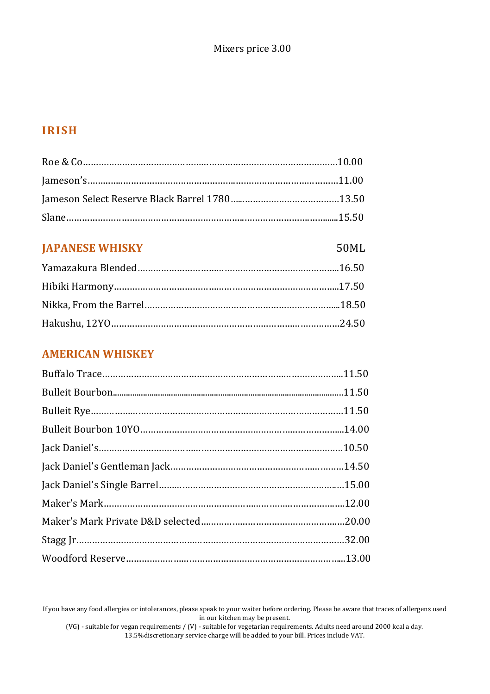### **IRISH**

### **JAPANESE WHISKY** 50ML

### **AMERICAN WHISKEY**

If you have any food allergies or intolerances, please speak to your waiter before ordering. Please be aware that traces of allergens used in our kitchen may be present.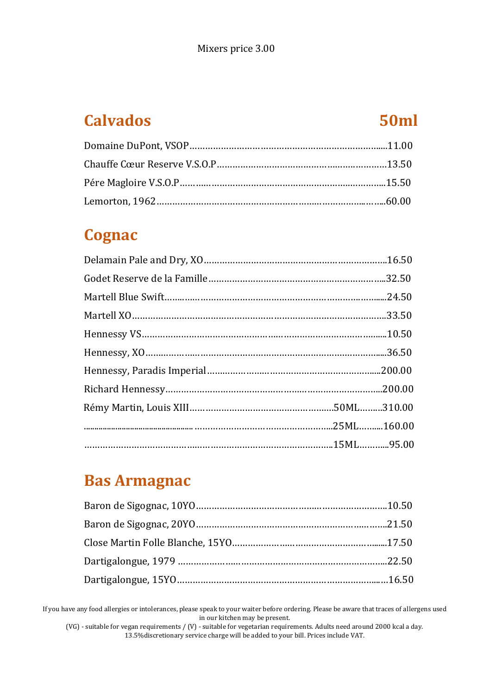# **Calvados 50ml**

# **Cognac**

# **Bas Armagnac**

If you have any food allergies or intolerances, please speak to your waiter before ordering. Please be aware that traces of allergens used in our kitchen may be present.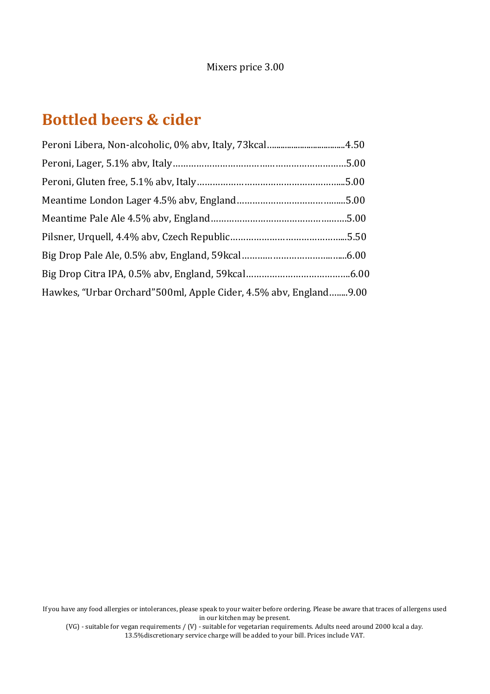# **Bottled beers & cider**

| Hawkes, "Urbar Orchard" 500ml, Apple Cider, 4.5% aby, England9.00 |  |
|-------------------------------------------------------------------|--|

If you have any food allergies or intolerances, please speak to your waiter before ordering. Please be aware that traces of allergens used in our kitchen may be present.